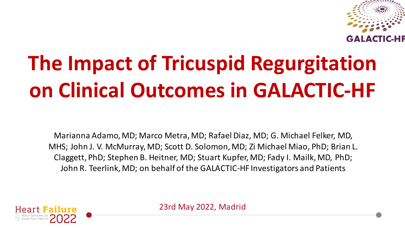

# **The Impact of Tricuspid Regurgitation on Clinical Outcomes in GALACTIC-HF**

Marianna Adamo, MD; Marco Metra, MD; Rafael Diaz, MD; G. Michael Felker, MD, MHS; John J. V. McMurray, MD; Scott D. Solomon, MD; Zi Michael Miao, PhD; Brian L. Claggett, PhD; Stephen B. Heitner, MD; Stuart Kupfer, MD; Fady I. Mailk, MD, PhD; John R. Teerlink, MD; on behalf of the GALACTIC-HF Investigators and Patients



23rd May 2022, Madrid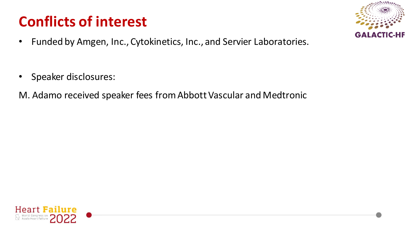# **Conflicts of interest**

G/

- Funded by Amgen, Inc., Cytokinetics, Inc., and Servier Laboratories.
- Speaker disclosures:
- M. Adamo received speaker fees from Abbott Vascular and Medtronic

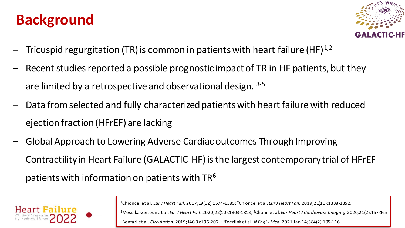## **Background**



- Tricuspid regurgitation (TR) is common in patients with heart failure (HF) $^{1,2}$
- Recent studies reported a possible prognostic impact of TR in HF patients, but they are limited by a retrospective and observational design. 3-5
- Data from selected and fully characterized patients with heart failure with reduced ejection fraction (HFrEF) are lacking
- Global Approach to Lowering Adverse Cardiac outcomes Through Improving Contractility in Heart Failure (GALACTIC-HF) is the largest contemporary trial of HFrEF patients with information on patients with  $TR<sup>6</sup>$



<sup>1</sup>Chioncel et al*. Eur J Heart Fail.* 2017;19(12):1574-1585; 2Chioncel et al. *Eur J Heart Fail.* 2019;21(11):1338-1352.

<sup>3</sup>Messika-Zeitoun at al. *Eur J Heart Fail*. 2020;22(10):1803-1813; 4Chorin et al. *Eur Heart J Cardiovasc Imaging*. 2020;21(2):157-165

<sup>5</sup>Benfari et al. *Circulation.* 2019;140(3):196-206. ; 6Teerlink et al. *N Engl J Med*. 2021 Jan 14;384(2):105-116.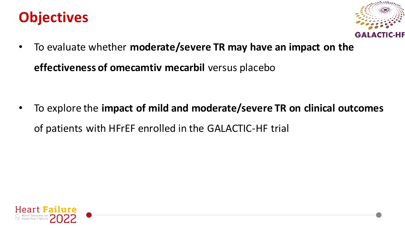## **Objectives**



• To evaluate whether **moderate/severe TR may have an impact on the** 

**effectiveness of omecamtiv mecarbil** versus placebo

• To explore the **impact of mild and moderate/severe TR on clinical outcomes**  of patients with HFrEF enrolled in the GALACTIC-HF trial

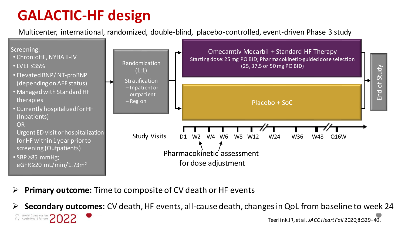# **GALACTIC-HF design**

Multicenter, international, randomized, double-blind, placebo-controlled, event-driven Phase 3 study



➢ **Primary outcome:** Time to composite of CV death or HF events

➢ **Secondary outcomes:** CV death, HF events, all-cause death, changes in QoL from baseline to week 24World Congress on **20**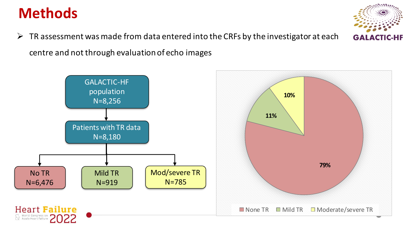## **Methods**

 $\triangleright$  TR assessment was made from data entered into the CRFs by the investigator at each centre and not through evaluation of echo images



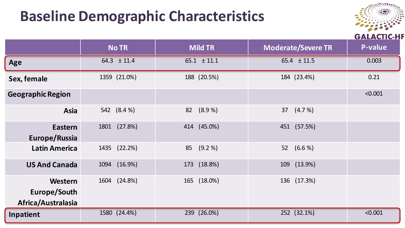## **Baseline Demographic Characteristics**



|                                               | <b>No TR</b>    | <b>Mild TR</b>  | <b>Moderate/Severe TR</b> | ,,,,,,,,,,,<br>P-value |
|-----------------------------------------------|-----------------|-----------------|---------------------------|------------------------|
| Age                                           | $64.3 \pm 11.4$ | $65.1 \pm 11.1$ | $65.4 \pm 11.5$           | 0.003                  |
| Sex, female                                   | 1359 (21.0%)    | 188 (20.5%)     | 184 (23.4%)               | 0.21                   |
| <b>Geographic Region</b>                      |                 |                 |                           | < 0.001                |
| Asia                                          | 542 (8.4 %)     | (8.9%<br>82     | 37 (4.7 %)                |                        |
| <b>Eastern</b><br>Europe/Russia               | 1801 (27.8%)    | 414 (45.0%)     | 451 (57.5%)               |                        |
| <b>Latin America</b>                          | 1435 (22.2%)    | (9.2 %)<br>85   | 52 (6.6 %)                |                        |
| <b>US And Canada</b>                          | (16.9%)<br>1094 | 173 (18.8%)     | 109 (13.9%)               |                        |
| Western<br>Europe/South<br>Africa/Australasia | 1604 (24.8%)    | 165 (18.0%)     | 136 (17.3%)               |                        |
| Inpatient                                     | 1580 (24.4%)    | 239 (26.0%)     | 252 (32.1%)               | < 0.001                |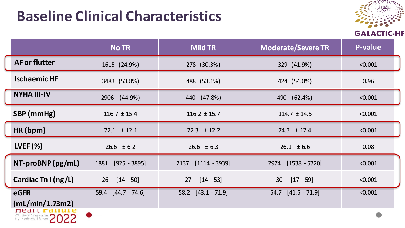## **Baseline Clinical Characteristics**



|                         | <b>No TR</b>           | <b>Mild TR</b>          | <b>Moderate/Severe TR</b> | P-value |
|-------------------------|------------------------|-------------------------|---------------------------|---------|
| <b>AF or flutter</b>    | 1615 (24.9%)           | 278 (30.3%)             | 329 (41.9%)               | < 0.001 |
| <b>Ischaemic HF</b>     | 3483 (53.8%)           | 488 (53.1%)             | 424 (54.0%)               | 0.96    |
| <b>NYHA III-IV</b>      | 2906 (44.9%)           | 440 (47.8%)             | 490 (62.4%)               | < 0.001 |
| SBP (mmHg)              | $116.7 \pm 15.4$       | $116.2 \pm 15.7$        | $114.7 \pm 14.5$          | < 0.001 |
| HR(bpm)                 | $72.1 \pm 12.1$        | $72.3 \pm 12.2$         | $74.3 \pm 12.4$           | < 0.001 |
| $LVEF (\%)$             | $26.6 \pm 6.2$         | $26.6 \pm 6.3$          | $26.1 \pm 6.6$            | 0.08    |
| NT-proBNP (pg/mL)       | $[925 - 3895]$<br>1881 | 2137<br>$[1114 - 3939]$ | $[1538 - 5720]$<br>2974   | < 0.001 |
| Cardiac Tn I ( $ng/L$ ) | $[14 - 50]$<br>26      | $[14 - 53]$<br>27       | $[17 - 59]$<br>30         | < 0.001 |
| eGFR                    | 59.4 [44.7 - 74.6]     | 58.2 [43.1 - 71.9]      | 54.7 [41.5 - 71.9]        | < 0.001 |
| (mL/min/1.73m2)<br>near |                        |                         |                           |         |
| World Congress on 2022  |                        |                         |                           |         |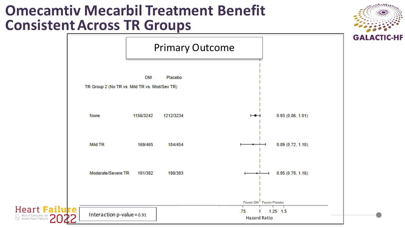#### **Omecamtiv Mecarbil Treatment Benefit Consistent Across TR Groups**





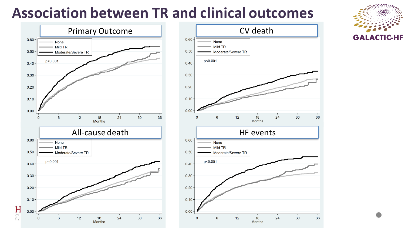## **Association between TR and clinical outcomes**





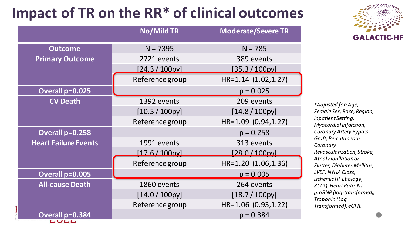# **Impact of TR on the RR\* of clinical outcomes**

|                             | <b>No/Mild TR</b><br><b>Moderate/Severe TR</b> |                     |
|-----------------------------|------------------------------------------------|---------------------|
| <b>Outcome</b>              | $N = 7395$                                     | $N = 785$           |
| <b>Primary Outcome</b>      | 2721 events                                    | 389 events          |
|                             | [24.3 / 100p                                   | [35.3 / 100p        |
|                             | Reference group                                | HR=1.14 (1.02,1.27) |
| Overall p=0.025             |                                                | $p = 0.025$         |
| <b>CV Death</b>             | 1392 events                                    | 209 events          |
|                             | $[10.5 / 100$ py]                              | $[14.8 / 100$ py    |
|                             | Reference group                                | HR=1.09 (0.94,1.27) |
| Overall p=0.258             |                                                | $p = 0.258$         |
| <b>Heart Failure Events</b> | 1991 events                                    | 313 events          |
|                             | $176/100$ nyl                                  | [28.0/100pv]        |
|                             | Reference group                                | HR=1.20 (1.06,1.36) |
| Overall p=0.005             |                                                | $p = 0.005$         |
| <b>All-cause Death</b>      | 1860 events                                    | 264 events          |
|                             | $[14.0 / 100$ py]                              | $[18.7 / 100$ py]   |
|                             | Reference group                                | HR=1.06 (0.93,1.22) |
| Overall p=0.384<br>LULL     |                                                | $p = 0.384$         |



*\*Adjusted for: Age, Female Sex, Race, Region, Inpatient Setting, Myocardial Infarction, Coronary Artery Bypass Graft, Percutaneous Coronary Revascularization, Stroke, Atrial Fibrillation or Flutter, Diabetes Mellitus, LVEF, NYHA Class, Ischemic HF Etiology, KCCQ, Heart Rate, NTproBNP (log-transformed), Troponin (Log Transformed), eGFR.*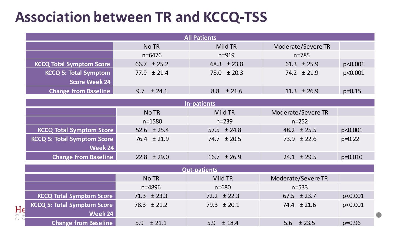## **Association between TR and KCCQ-TSS**

| <b>All Patients</b>             |                 |                 |                    |          |  |
|---------------------------------|-----------------|-----------------|--------------------|----------|--|
|                                 | No TR           | Mild TR         | Moderate/Severe TR |          |  |
|                                 | n=6476          | $n = 919$       | n=785              |          |  |
| <b>KCCQ Total Symptom Score</b> | $66.7 \pm 25.2$ | $68.3 \pm 23.8$ | $61.3 \pm 25.9$    | p<0.001  |  |
| <b>KCCQ 5: Total Symptom</b>    | $77.9 \pm 21.4$ | $78.0 \pm 20.3$ | $74.2 \pm 21.9$    | p<0.001  |  |
| <b>Score Week 24</b>            |                 |                 |                    |          |  |
| <b>Change from Baseline</b>     | $9.7 + 24.1$    | $8.8 + 21.6$    | $11.3 \pm 26.9$    | $p=0.15$ |  |

| In-patients                     |                 |                 |                    |             |  |  |
|---------------------------------|-----------------|-----------------|--------------------|-------------|--|--|
|                                 | No TR           | Mild TR         | Moderate/Severe TR |             |  |  |
|                                 | n=1580          | $n = 239$       | $n = 252$          |             |  |  |
| <b>KCCQ Total Symptom Score</b> | $52.6 \pm 25.4$ | $57.5 \pm 24.8$ | $48.2 \pm 25.5$    | p<0.001     |  |  |
| KCCQ 5: Total Symptom Score     | $76.4 \pm 21.9$ | $74.7 \pm 20.5$ | $73.9 \pm 22.6$    | $p=0.22$    |  |  |
| Week 24                         |                 |                 |                    |             |  |  |
| <b>Change from Baseline</b>     | $22.8 \pm 29.0$ | $16.7 \pm 26.9$ | $24.1 \pm 29.5$    | $p = 0.010$ |  |  |

|                                 | <b>Out-patients</b>                |                 |                 |                    |            |  |
|---------------------------------|------------------------------------|-----------------|-----------------|--------------------|------------|--|
|                                 |                                    | No TR           | Mild TR         | Moderate/Severe TR |            |  |
|                                 |                                    | n=4896          | $n = 680$       | $n = 533$          |            |  |
| He<br>$\sum_{A \in \mathbb{R}}$ | <b>KCCQ Total Symptom Score</b>    | $71.3 \pm 23.3$ | $72.2 \pm 22.3$ | $67.5 \pm 23.7$    | p<0.001    |  |
|                                 | <b>KCCQ 5: Total Symptom Score</b> | $78.3 \pm 21.2$ | $79.3 \pm 20.1$ | $74.4 \pm 21.6$    | p<0.001    |  |
|                                 | Week 24                            |                 |                 |                    |            |  |
|                                 | <b>Change from Baseline</b>        | $5.9 \pm 21.1$  | $5.9 + 18.4$    | $5.6 \pm 23.5$     | $p = 0.96$ |  |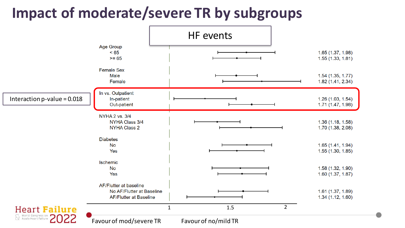# **Impact of moderate/severe TR by subgroups**

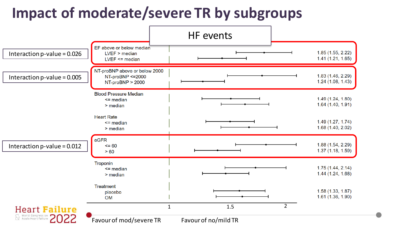# **Impact of moderate/severe TR by subgroups**